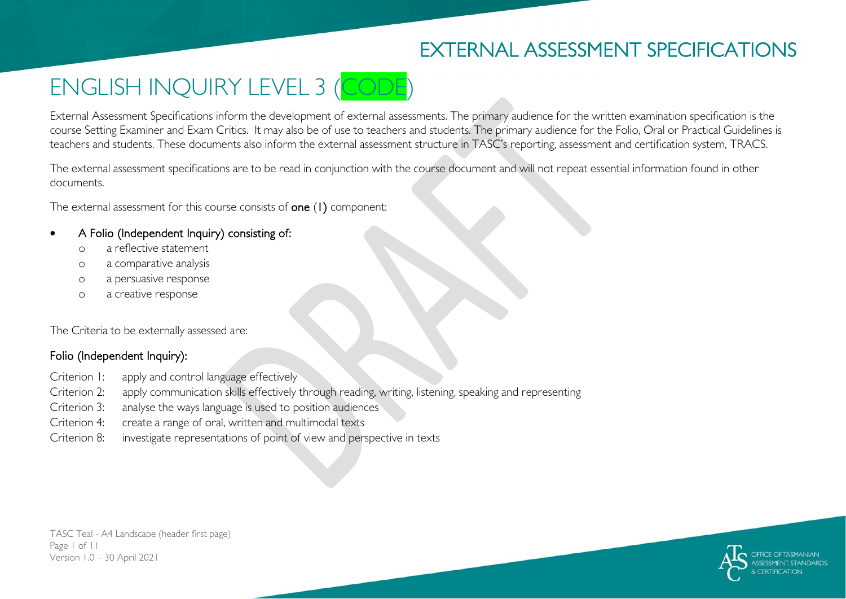# EXTERNAL ASSESSMENT SPECIFICATIONS

# ENGLISH INQUIRY LEVEL 3 (CODE)

External Assessment Specifications inform the development of external assessments. The primary audience for the written examination specification is the course Setting Examiner and Exam Critics. It may also be of use to teachers and students. The primary audience for the Folio, Oral or Practical Guidelines is teachers and students. These documents also inform the external assessment structure in TASC's reporting, assessment and certification system, TRACS.

The external assessment specifications are to be read in conjunction with the course document and will not repeat essential information found in other documents.

The external assessment for this course consists of one (1) component:

#### • A Folio (Independent Inquiry) consisting of:

- o a reflective statement
- o a comparative analysis
- o a persuasive response
- o a creative response

The Criteria to be externally assessed are:

### Folio (Independent Inquiry):

- Criterion 1: apply and control language effectively
- Criterion 2: apply communication skills effectively through reading, writing, listening, speaking and representing
- Criterion 3: analyse the ways language is used to position audiences
- Criterion 4: create a range of oral, written and multimodal texts
- Criterion 8: investigate representations of point of view and perspective in texts

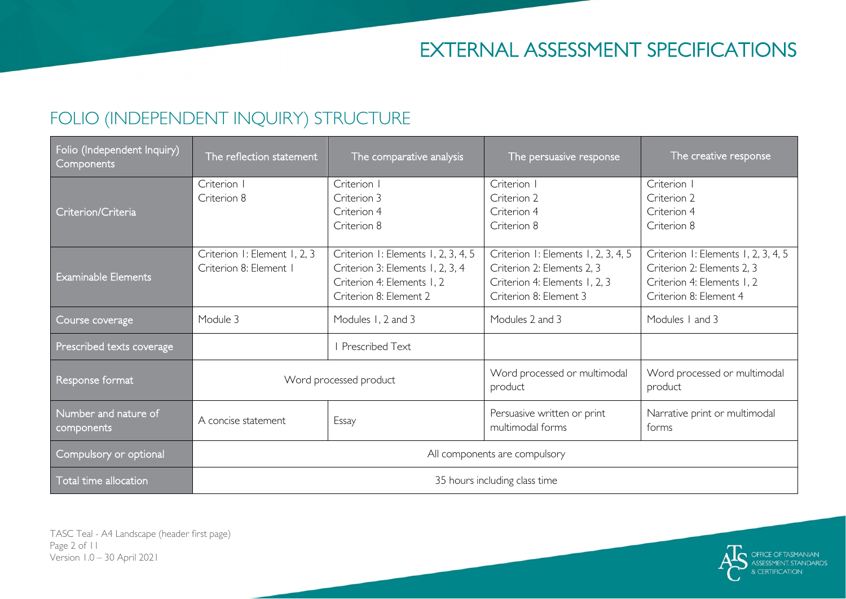## FOLIO (INDEPENDENT INQUIRY) STRUCTURE

| Folio (Independent Inquiry)<br>Components | The reflection statement                               | The comparative analysis                                                                                                        | The persuasive response                                                                                                      | The creative response                                                                                                     |  |
|-------------------------------------------|--------------------------------------------------------|---------------------------------------------------------------------------------------------------------------------------------|------------------------------------------------------------------------------------------------------------------------------|---------------------------------------------------------------------------------------------------------------------------|--|
| Criterion/Criteria                        | Criterion I<br>Criterion 8                             | Criterion I<br>Criterion 3<br>Criterion 4<br>Criterion 8                                                                        | Criterion I<br>Criterion 2<br>Criterion 4<br>Criterion 8                                                                     | Criterion I<br>Criterion 2<br>Criterion 4<br>Criterion 8                                                                  |  |
| <b>Examinable Elements</b>                | Criterion I: Element I, 2, 3<br>Criterion 8: Element I | Criterion I: Elements I, 2, 3, 4, 5<br>Criterion 3: Elements 1, 2, 3, 4<br>Criterion 4: Elements 1, 2<br>Criterion 8: Element 2 | Criterion I: Elements I, 2, 3, 4, 5<br>Criterion 2: Elements 2, 3<br>Criterion 4: Elements 1, 2, 3<br>Criterion 8: Element 3 | Criterion I: Elements I, 2, 3, 4, 5<br>Criterion 2: Elements 2, 3<br>Criterion 4: Elements 1, 2<br>Criterion 8: Element 4 |  |
| Course coverage                           | Module 3                                               | Modules 1, 2 and 3                                                                                                              | Modules 2 and 3                                                                                                              | Modules 1 and 3                                                                                                           |  |
| Prescribed texts coverage                 |                                                        | Prescribed Text                                                                                                                 |                                                                                                                              |                                                                                                                           |  |
| Response format                           | Word processed product                                 |                                                                                                                                 | Word processed or multimodal<br>product                                                                                      | Word processed or multimodal<br>product                                                                                   |  |
| Number and nature of<br>components        | A concise statement                                    | Essay                                                                                                                           | Persuasive written or print<br>multimodal forms                                                                              | Narrative print or multimodal<br>forms                                                                                    |  |
| Compulsory or optional                    | All components are compulsory                          |                                                                                                                                 |                                                                                                                              |                                                                                                                           |  |
| Total time allocation                     | 35 hours including class time                          |                                                                                                                                 |                                                                                                                              |                                                                                                                           |  |

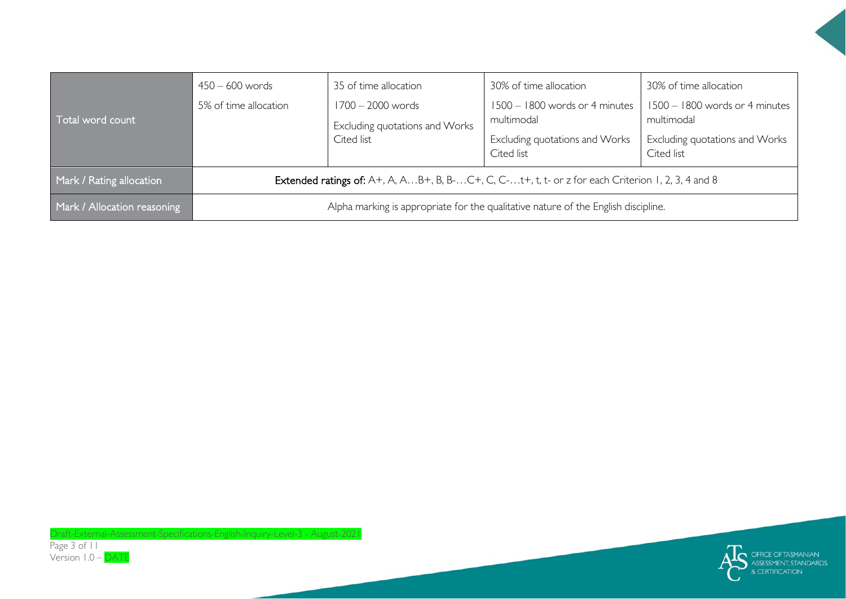| Total word count            | 450 – 600 words<br>5% of time allocation                                                          | 35 of time allocation<br>1700 – 2000 words<br>Excluding quotations and Works<br>Cited list | 30% of time allocation<br>1500 - 1800 words or 4 minutes<br>multimodal<br>Excluding quotations and Works<br>Cited list | 30% of time allocation<br>1500 - 1800 words or 4 minutes<br>multimodal<br>Excluding quotations and Works<br>Cited list |  |  |
|-----------------------------|---------------------------------------------------------------------------------------------------|--------------------------------------------------------------------------------------------|------------------------------------------------------------------------------------------------------------------------|------------------------------------------------------------------------------------------------------------------------|--|--|
| Mark / Rating allocation    | Extended ratings of: A+, A, AB+, B, B-C+, C, C-t+, t, t- or z for each Criterion 1, 2, 3, 4 and 8 |                                                                                            |                                                                                                                        |                                                                                                                        |  |  |
| Mark / Allocation reasoning | Alpha marking is appropriate for the qualitative nature of the English discipline.                |                                                                                            |                                                                                                                        |                                                                                                                        |  |  |

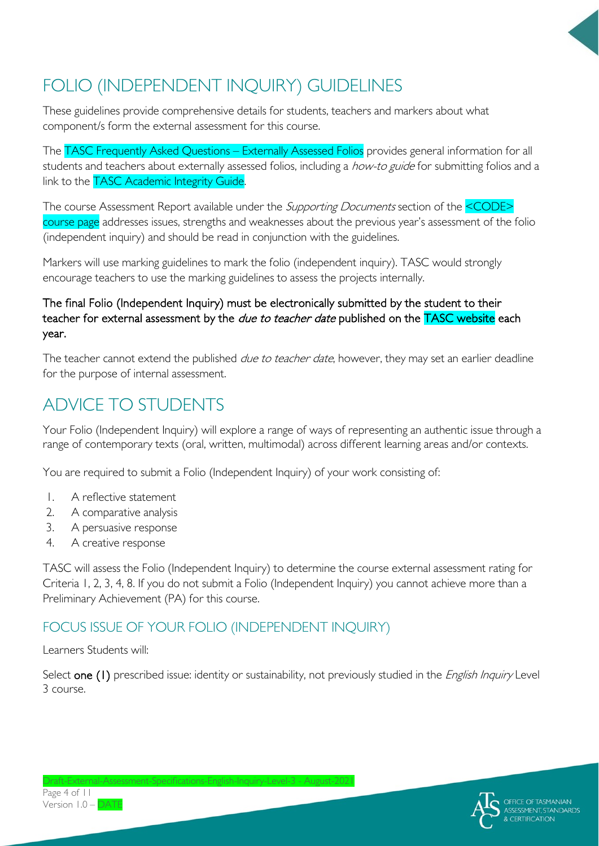# FOLIO (INDEPENDENT INQUIRY) GUIDELINES

These guidelines provide comprehensive details for students, teachers and markers about what component/s form the external assessment for this course.

The TASC Frequently Asked Questions – Externally Assessed Folios provides general information for all students and teachers about externally assessed folios, including a *how-to guide* for submitting folios and a link to the **TASC Academic Integrity Guide.** 

The course Assessment Report available under the *Supporting Documents* section of the **<CODE>** course page addresses issues, strengths and weaknesses about the previous year's assessment of the folio (independent inquiry) and should be read in conjunction with the guidelines.

Markers will use marking guidelines to mark the folio (independent inquiry). TASC would strongly encourage teachers to use the marking guidelines to assess the projects internally.

#### The final Folio (Independent Inquiry) must be electronically submitted by the student to their teacher for external assessment by the *due to teacher date* published on the TASC website each year.

The teacher cannot extend the published *due to teacher date*, however, they may set an earlier deadline for the purpose of internal assessment.

# ADVICE TO STUDENTS

Your Folio (Independent Inquiry) will explore a range of ways of representing an authentic issue through a range of contemporary texts (oral, written, multimodal) across different learning areas and/or contexts.

You are required to submit a Folio (Independent Inquiry) of your work consisting of:

- 1. A reflective statement
- 2. A comparative analysis
- 3. A persuasive response
- 4. A creative response

TASC will assess the Folio (Independent Inquiry) to determine the course external assessment rating for Criteria 1, 2, 3, 4, 8. If you do not submit a Folio (Independent Inquiry) you cannot achieve more than a Preliminary Achievement (PA) for this course.

### FOCUS ISSUE OF YOUR FOLIO (INDEPENDENT INQUIRY)

Learners Students will:

Select one (1) prescribed issue: identity or sustainability, not previously studied in the *English Inquiry* Level 3 course.

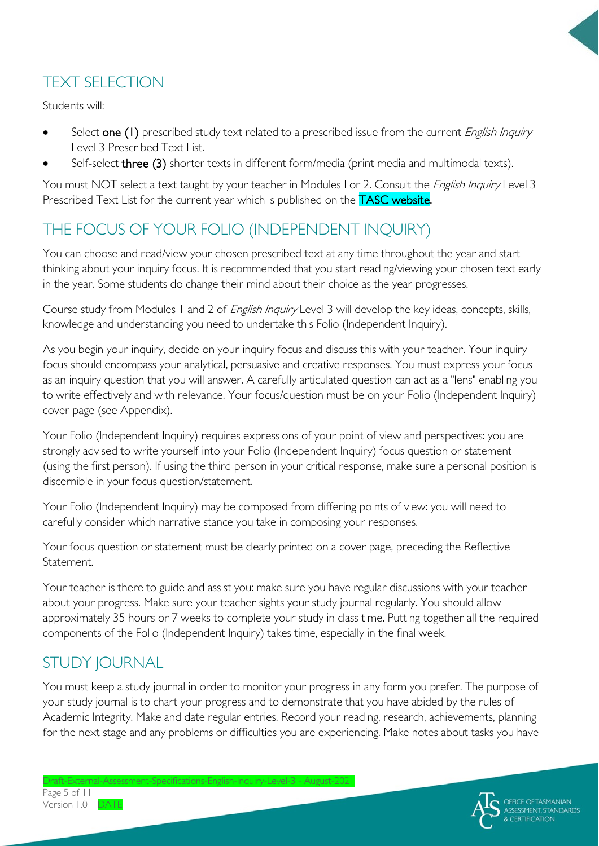

### TEXT SELECTION

Students will:

- Select one (1) prescribed study text related to a prescribed issue from the current *English Inquiry* Level 3 Prescribed Text List.
- Self-select three (3) shorter texts in different form/media (print media and multimodal texts).

You must NOT select a text taught by your teacher in Modules I or 2. Consult the *English Inquiry* Level 3 Prescribed Text List for the current year which is published on the TASC website.

### THE FOCUS OF YOUR FOLIO (INDEPENDENT INQUIRY)

You can choose and read/view your chosen prescribed text at any time throughout the year and start thinking about your inquiry focus. It is recommended that you start reading/viewing your chosen text early in the year. Some students do change their mind about their choice as the year progresses.

Course study from Modules 1 and 2 of English Inquiry Level 3 will develop the key ideas, concepts, skills, knowledge and understanding you need to undertake this Folio (Independent Inquiry).

As you begin your inquiry, decide on your inquiry focus and discuss this with your teacher. Your inquiry focus should encompass your analytical, persuasive and creative responses. You must express your focus as an inquiry question that you will answer. A carefully articulated question can act as a "lens" enabling you to write effectively and with relevance. Your focus/question must be on your Folio (Independent Inquiry) cover page (see Appendix).

Your Folio (Independent Inquiry) requires expressions of your point of view and perspectives: you are strongly advised to write yourself into your Folio (Independent Inquiry) focus question or statement (using the first person). If using the third person in your critical response, make sure a personal position is discernible in your focus question/statement.

Your Folio (Independent Inquiry) may be composed from differing points of view: you will need to carefully consider which narrative stance you take in composing your responses.

Your focus question or statement must be clearly printed on a cover page, preceding the Reflective Statement.

Your teacher is there to guide and assist you: make sure you have regular discussions with your teacher about your progress. Make sure your teacher sights your study journal regularly. You should allow approximately 35 hours or 7 weeks to complete your study in class time. Putting together all the required components of the Folio (Independent Inquiry) takes time, especially in the final week.

## STUDY JOURNAL

You must keep a study journal in order to monitor your progress in any form you prefer. The purpose of your study journal is to chart your progress and to demonstrate that you have abided by the rules of Academic Integrity. Make and date regular entries. Record your reading, research, achievements, planning for the next stage and any problems or difficulties you are experiencing. Make notes about tasks you have

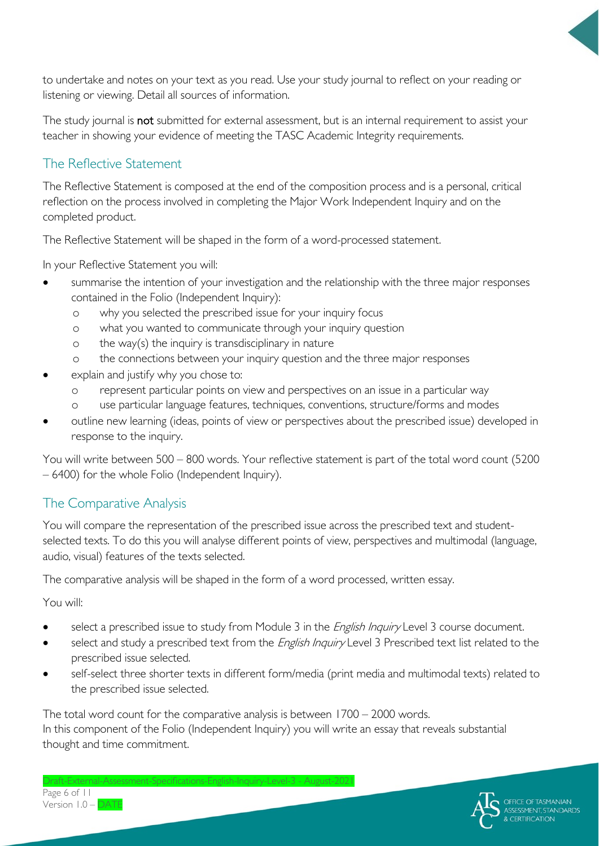to undertake and notes on your text as you read. Use your study journal to reflect on your reading or listening or viewing. Detail all sources of information.

The study journal is not submitted for external assessment, but is an internal requirement to assist your teacher in showing your evidence of meeting the TASC Academic Integrity requirements.

### The Reflective Statement

The Reflective Statement is composed at the end of the composition process and is a personal, critical reflection on the process involved in completing the Major Work Independent Inquiry and on the completed product.

The Reflective Statement will be shaped in the form of a word-processed statement.

In your Reflective Statement you will:

- summarise the intention of your investigation and the relationship with the three major responses contained in the Folio (Independent Inquiry):
	- o why you selected the prescribed issue for your inquiry focus
	- o what you wanted to communicate through your inquiry question
	- o the way(s) the inquiry is transdisciplinary in nature
	- o the connections between your inquiry question and the three major responses
- explain and justify why you chose to:
	- o represent particular points on view and perspectives on an issue in a particular way
	- use particular language features, techniques, conventions, structure/forms and modes
- outline new learning (ideas, points of view or perspectives about the prescribed issue) developed in response to the inquiry.

You will write between 500 – 800 words. Your reflective statement is part of the total word count (5200 – 6400) for the whole Folio (Independent Inquiry).

### The Comparative Analysis

You will compare the representation of the prescribed issue across the prescribed text and studentselected texts. To do this you will analyse different points of view, perspectives and multimodal (language, audio, visual) features of the texts selected.

The comparative analysis will be shaped in the form of a word processed, written essay.

You will:

- select a prescribed issue to study from Module 3 in the *English Inquiry* Level 3 course document.
- select and study a prescribed text from the *English Inquiry* Level 3 Prescribed text list related to the prescribed issue selected.
- self-select three shorter texts in different form/media (print media and multimodal texts) related to the prescribed issue selected.

The total word count for the comparative analysis is between 1700 – 2000 words. In this component of the Folio (Independent Inquiry) you will write an essay that reveals substantial thought and time commitment.

 $S$ -English-Inquiry-Level-3 - August-2021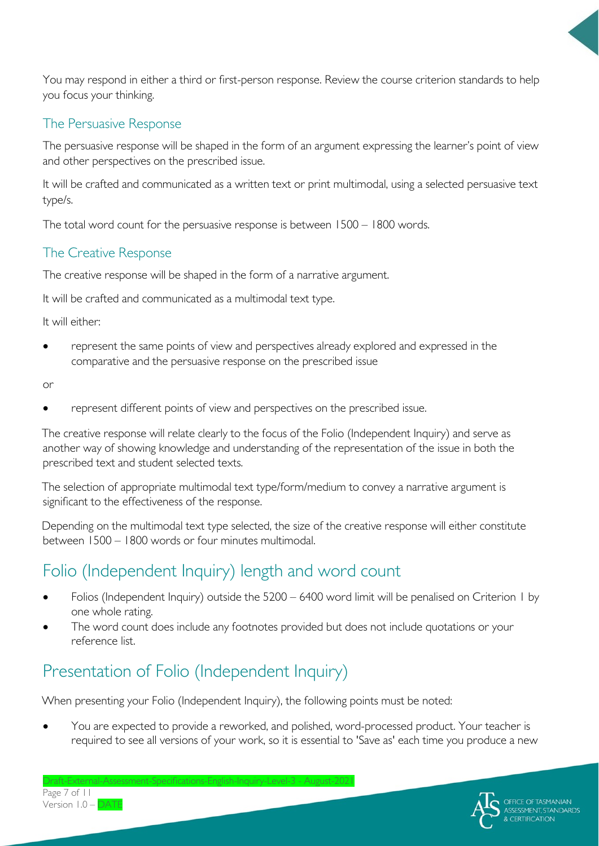You may respond in either a third or first-person response. Review the course criterion standards to help you focus your thinking.

### The Persuasive Response

The persuasive response will be shaped in the form of an argument expressing the learner's point of view and other perspectives on the prescribed issue.

It will be crafted and communicated as a written text or print multimodal, using a selected persuasive text type/s.

The total word count for the persuasive response is between 1500 – 1800 words.

### The Creative Response

The creative response will be shaped in the form of a narrative argument.

It will be crafted and communicated as a multimodal text type.

It will either:

• represent the same points of view and perspectives already explored and expressed in the comparative and the persuasive response on the prescribed issue

or

• represent different points of view and perspectives on the prescribed issue.

The creative response will relate clearly to the focus of the Folio (Independent Inquiry) and serve as another way of showing knowledge and understanding of the representation of the issue in both the prescribed text and student selected texts.

The selection of appropriate multimodal text type/form/medium to convey a narrative argument is significant to the effectiveness of the response.

Depending on the multimodal text type selected, the size of the creative response will either constitute between 1500 – 1800 words or four minutes multimodal.

## Folio (Independent Inquiry) length and word count

- Folios (Independent Inquiry) outside the 5200 6400 word limit will be penalised on Criterion 1 by one whole rating.
- The word count does include any footnotes provided but does not include quotations or your reference list.

# Presentation of Folio (Independent Inquiry)

Draft-External-Assessment-Specifications-English-Inquiry-Level-3 - August-2021

When presenting your Folio (Independent Inquiry), the following points must be noted:

• You are expected to provide a reworked, and polished, word-processed product. Your teacher is required to see all versions of your work, so it is essential to 'Save as' each time you produce a new

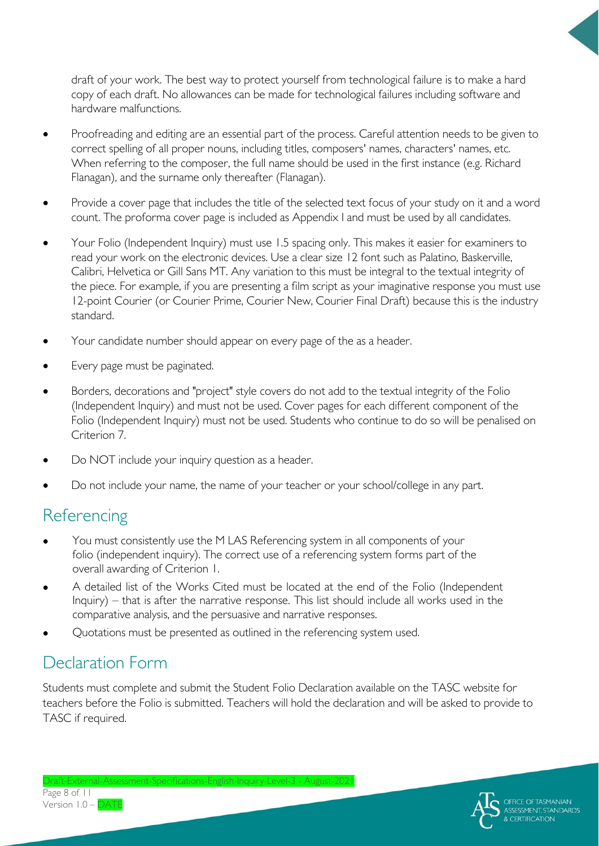draft of your work. The best way to protect yourself from technological failure is to make a hard copy of each draft. No allowances can be made for technological failures including software and hardware malfunctions.

- Proofreading and editing are an essential part of the process. Careful attention needs to be given to correct spelling of all proper nouns, including titles, composers' names, characters' names, etc. When referring to the composer, the full name should be used in the first instance (e.g. Richard Flanagan), and the surname only thereafter (Flanagan).
- Provide a cover page that includes the title of the selected text focus of your study on it and a word count. The proforma cover page is included as Appendix I and must be used by all candidates.
- Your Folio (Independent Inquiry) must use 1.5 spacing only. This makes it easier for examiners to read your work on the electronic devices. Use a clear size 12 font such as Palatino, Baskerville, Calibri, Helvetica or Gill Sans MT. Any variation to this must be integral to the textual integrity of the piece. For example, if you are presenting a film script as your imaginative response you must use 12-point Courier (or Courier Prime, Courier New, Courier Final Draft) because this is the industry standard.
- Your candidate number should appear on every page of the as a header.
- Every page must be paginated.
- Borders, decorations and "project" style covers do not add to the textual integrity of the Folio (Independent Inquiry) and must not be used. Cover pages for each different component of the Folio (Independent Inquiry) must not be used. Students who continue to do so will be penalised on Criterion 7.
- Do NOT include your inquiry question as a header.
- Do not include your name, the name of your teacher or your school/college in any part.

### **Referencing**

- You must consistently use the M LAS Referencing system in all components of your folio (independent inquiry). The correct use of a referencing system forms part of the overall awarding of Criterion 1.
- A detailed list of the Works Cited must be located at the end of the Folio (Independent Inquiry) – that is after the narrative response. This list should include all works used in the comparative analysis, and the persuasive and narrative responses.
- Quotations must be presented as outlined in the referencing system used.

### Declaration Form

Students must complete and submit the Student Folio Declaration available on the TASC website for teachers before the Folio is submitted. Teachers will hold the declaration and will be asked to provide to TASC if required.

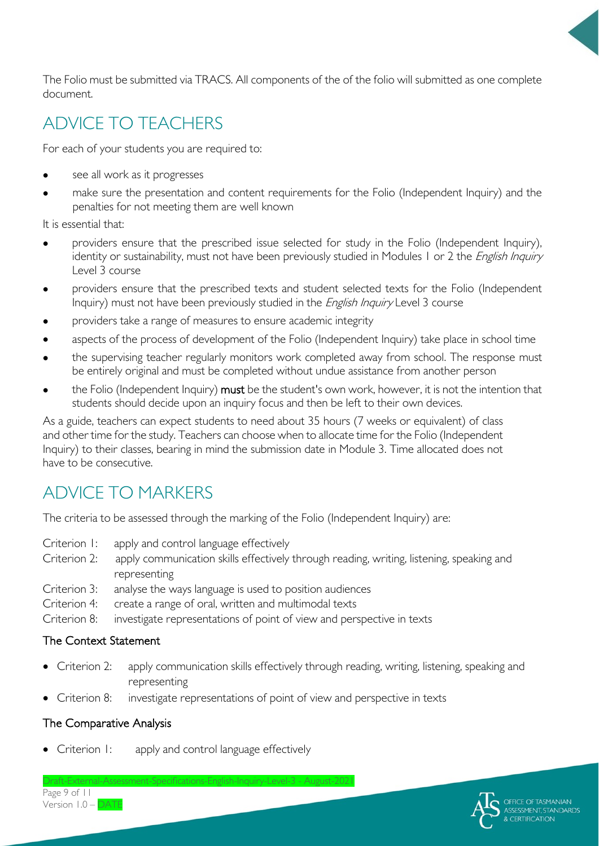The Folio must be submitted via TRACS. All components of the of the folio will submitted as one complete document.

# ADVICE TO TEACHERS

For each of your students you are required to:

- see all work as it progresses
- make sure the presentation and content requirements for the Folio (Independent Inquiry) and the penalties for not meeting them are well known

It is essential that:

- providers ensure that the prescribed issue selected for study in the Folio (Independent Inquiry), identity or sustainability, must not have been previously studied in Modules 1 or 2 the *English Inquiry* Level 3 course
- providers ensure that the prescribed texts and student selected texts for the Folio (Independent Inquiry) must not have been previously studied in the *English Inquiry* Level 3 course
- providers take a range of measures to ensure academic integrity
- aspects of the process of development of the Folio (Independent Inquiry) take place in school time
- the supervising teacher regularly monitors work completed away from school. The response must be entirely original and must be completed without undue assistance from another person
- the Folio (Independent Inquiry) must be the student's own work, however, it is not the intention that students should decide upon an inquiry focus and then be left to their own devices.

As a guide, teachers can expect students to need about 35 hours (7 weeks or equivalent) of class and other time for the study. Teachers can choose when to allocate time for the Folio (Independent Inquiry) to their classes, bearing in mind the submission date in Module 3. Time allocated does not have to be consecutive.

# ADVICE TO MARKERS

The criteria to be assessed through the marking of the Folio (Independent Inquiry) are:

- Criterion 1: apply and control language effectively
- Criterion 2: apply communication skills effectively through reading, writing, listening, speaking and representing
- Criterion 3: analyse the ways language is used to position audiences
- Criterion 4: create a range of oral, written and multimodal texts
- Criterion 8: investigate representations of point of view and perspective in texts

#### The Context Statement

- Criterion 2: apply communication skills effectively through reading, writing, listening, speaking and representing
- Criterion 8: investigate representations of point of view and perspective in texts

### The Comparative Analysis

• Criterion 1: apply and control language effectively

Draft-External-Assessment-Specifications-English-Inquiry-Level-3 - August-2021

Page 9 of 11 Version 1.0 – DATE